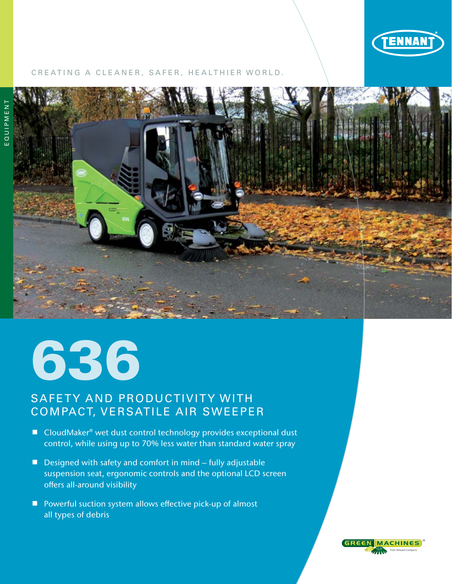

## CREATING A CLEANER, SAFER, HEALTHIER WORLD.



# 636

# SAFETY AND PRODUCTIVITY WITH COMPACT, VERSATILE AIR SWEEPER

- CloudMaker® wet dust control technology provides exceptional dust control, while using up to 70% less water than standard water spray
- $\blacksquare$  Designed with safety and comfort in mind fully adjustable suspension seat, ergonomic controls and the optional LCD screen offers all-around visibility
- Powerful suction system allows effective pick-up of almost all types of debris

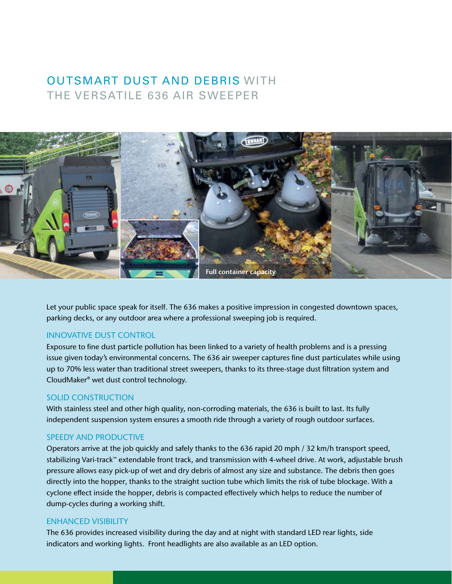# OUTSMART DUST AND DEBRIS WITH THE VERSATILE 636 AIR SWEEPER



Let your public space speak for itself. The 636 makes a positive impression in congested downtown spaces, parking decks, or any outdoor area where a professional sweeping job is required.

### INNOVATIVE DUST CONTROL

Exposure to fine dust particle pollution has been linked to a variety of health problems and is a pressing issue given today's environmental concerns. The 636 air sweeper captures fine dust particulates while using up to 70% less water than traditional street sweepers, thanks to its three-stage dust filtration system and CloudMaker® wet dust control technology.

### SOLID CONSTRUCTION

With stainless steel and other high quality, non-corroding materials, the 636 is built to last. Its fully independent suspension system ensures a smooth ride through a variety of rough outdoor surfaces.

## SPEEDY AND PRODUCTIVE

Operators arrive at the job quickly and safely thanks to the 636 rapid 20 mph / 32 km/h transport speed, stabilizing Vari-track™ extendable front track, and transmission with 4-wheel drive. At work, adjustable brush pressure allows easy pick-up of wet and dry debris of almost any size and substance. The debris then goes directly into the hopper, thanks to the straight suction tube which limits the risk of tube blockage. With a cyclone effect inside the hopper, debris is compacted effectively which helps to reduce the number of dump-cycles during a working shift.

#### ENHANCED VISIBILITY

The 636 provides increased visibility during the day and at night with standard LED rear lights, side indicators and working lights. Front headlights are also available as an LED option.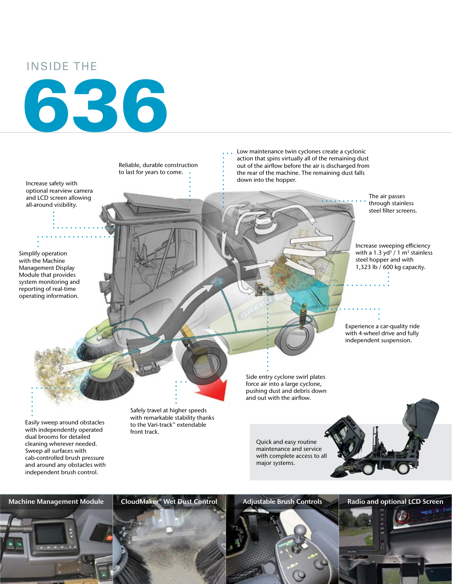## INSIDE THE





Machine Management Module CloudMaker® Wet Dust Control Adjustable Brush Controls Radio and optional LCD Screen